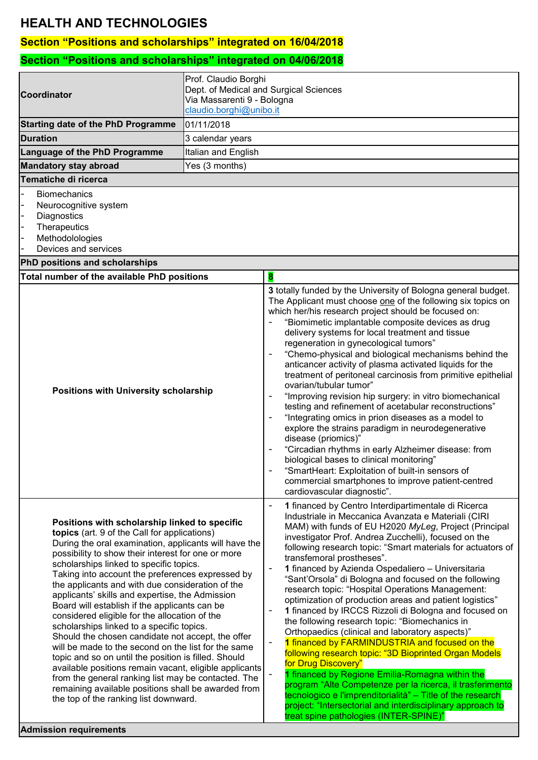## **HEALTH AND TECHNOLOGIES**

## **Section "Positions and scholarships" integrated on 16/04/2018**

## **Section "Positions and scholarships" integrated on 04/06/2018**

| Prof. Claudio Borghi<br>Dept. of Medical and Surgical Sciences<br><b>Coordinator</b><br>Via Massarenti 9 - Bologna<br>claudio.borghi@unibo.it                                                                                                                                                                                                                                                                                                                                                                                                                                                                                                                                                                                                                                                                                                                                                                                                          |                     |                                                                                                                                                                                                                                                                                                                                                                                                                                                                                                                                                                                                                                                                                                                                                                                                                                                                                                                                                                                                                                                                                                                              |  |
|--------------------------------------------------------------------------------------------------------------------------------------------------------------------------------------------------------------------------------------------------------------------------------------------------------------------------------------------------------------------------------------------------------------------------------------------------------------------------------------------------------------------------------------------------------------------------------------------------------------------------------------------------------------------------------------------------------------------------------------------------------------------------------------------------------------------------------------------------------------------------------------------------------------------------------------------------------|---------------------|------------------------------------------------------------------------------------------------------------------------------------------------------------------------------------------------------------------------------------------------------------------------------------------------------------------------------------------------------------------------------------------------------------------------------------------------------------------------------------------------------------------------------------------------------------------------------------------------------------------------------------------------------------------------------------------------------------------------------------------------------------------------------------------------------------------------------------------------------------------------------------------------------------------------------------------------------------------------------------------------------------------------------------------------------------------------------------------------------------------------------|--|
| <b>Starting date of the PhD Programme</b>                                                                                                                                                                                                                                                                                                                                                                                                                                                                                                                                                                                                                                                                                                                                                                                                                                                                                                              | 01/11/2018          |                                                                                                                                                                                                                                                                                                                                                                                                                                                                                                                                                                                                                                                                                                                                                                                                                                                                                                                                                                                                                                                                                                                              |  |
| <b>Duration</b>                                                                                                                                                                                                                                                                                                                                                                                                                                                                                                                                                                                                                                                                                                                                                                                                                                                                                                                                        | 3 calendar years    |                                                                                                                                                                                                                                                                                                                                                                                                                                                                                                                                                                                                                                                                                                                                                                                                                                                                                                                                                                                                                                                                                                                              |  |
| Language of the PhD Programme                                                                                                                                                                                                                                                                                                                                                                                                                                                                                                                                                                                                                                                                                                                                                                                                                                                                                                                          | Italian and English |                                                                                                                                                                                                                                                                                                                                                                                                                                                                                                                                                                                                                                                                                                                                                                                                                                                                                                                                                                                                                                                                                                                              |  |
| <b>Mandatory stay abroad</b>                                                                                                                                                                                                                                                                                                                                                                                                                                                                                                                                                                                                                                                                                                                                                                                                                                                                                                                           | Yes (3 months)      |                                                                                                                                                                                                                                                                                                                                                                                                                                                                                                                                                                                                                                                                                                                                                                                                                                                                                                                                                                                                                                                                                                                              |  |
| Tematiche di ricerca                                                                                                                                                                                                                                                                                                                                                                                                                                                                                                                                                                                                                                                                                                                                                                                                                                                                                                                                   |                     |                                                                                                                                                                                                                                                                                                                                                                                                                                                                                                                                                                                                                                                                                                                                                                                                                                                                                                                                                                                                                                                                                                                              |  |
| <b>Biomechanics</b><br>Neurocognitive system<br>Diagnostics<br>Therapeutics<br>Methodolologies<br>Devices and services                                                                                                                                                                                                                                                                                                                                                                                                                                                                                                                                                                                                                                                                                                                                                                                                                                 |                     |                                                                                                                                                                                                                                                                                                                                                                                                                                                                                                                                                                                                                                                                                                                                                                                                                                                                                                                                                                                                                                                                                                                              |  |
| PhD positions and scholarships                                                                                                                                                                                                                                                                                                                                                                                                                                                                                                                                                                                                                                                                                                                                                                                                                                                                                                                         |                     |                                                                                                                                                                                                                                                                                                                                                                                                                                                                                                                                                                                                                                                                                                                                                                                                                                                                                                                                                                                                                                                                                                                              |  |
| Total number of the available PhD positions                                                                                                                                                                                                                                                                                                                                                                                                                                                                                                                                                                                                                                                                                                                                                                                                                                                                                                            |                     | 8                                                                                                                                                                                                                                                                                                                                                                                                                                                                                                                                                                                                                                                                                                                                                                                                                                                                                                                                                                                                                                                                                                                            |  |
| Positions with University scholarship                                                                                                                                                                                                                                                                                                                                                                                                                                                                                                                                                                                                                                                                                                                                                                                                                                                                                                                  |                     | 3 totally funded by the University of Bologna general budget.<br>The Applicant must choose one of the following six topics on<br>which her/his research project should be focused on:<br>"Biomimetic implantable composite devices as drug<br>$\overline{\phantom{a}}$<br>delivery systems for local treatment and tissue<br>regeneration in gynecological tumors"<br>"Chemo-physical and biological mechanisms behind the<br>anticancer activity of plasma activated liquids for the<br>treatment of peritoneal carcinosis from primitive epithelial<br>ovarian/tubular tumor"<br>"Improving revision hip surgery: in vitro biomechanical<br>testing and refinement of acetabular reconstructions"<br>"Integrating omics in prion diseases as a model to<br>explore the strains paradigm in neurodegenerative<br>disease (priomics)"<br>"Circadian rhythms in early Alzheimer disease: from<br>biological bases to clinical monitoring"<br>"SmartHeart: Exploitation of built-in sensors of<br>commercial smartphones to improve patient-centred<br>cardiovascular diagnostic".                                             |  |
| Positions with scholarship linked to specific<br>topics (art. 9 of the Call for applications)<br>During the oral examination, applicants will have the<br>possibility to show their interest for one or more<br>scholarships linked to specific topics.<br>Taking into account the preferences expressed by<br>the applicants and with due consideration of the<br>applicants' skills and expertise, the Admission<br>Board will establish if the applicants can be<br>considered eligible for the allocation of the<br>scholarships linked to a specific topics.<br>Should the chosen candidate not accept, the offer<br>will be made to the second on the list for the same<br>topic and so on until the position is filled. Should<br>available positions remain vacant, eligible applicants<br>from the general ranking list may be contacted. The<br>remaining available positions shall be awarded from<br>the top of the ranking list downward. |                     | 1 financed by Centro Interdipartimentale di Ricerca<br>Industriale in Meccanica Avanzata e Materiali (CIRI<br>MAM) with funds of EU H2020 MyLeg, Project (Principal<br>investigator Prof. Andrea Zucchelli), focused on the<br>following research topic: "Smart materials for actuators of<br>transfemoral prostheses".<br>1 financed by Azienda Ospedaliero - Universitaria<br>"Sant'Orsola" di Bologna and focused on the following<br>research topic: "Hospital Operations Management:<br>optimization of production areas and patient logistics"<br>1 financed by IRCCS Rizzoli di Bologna and focused on<br>the following research topic: "Biomechanics in<br>Orthopaedics (clinical and laboratory aspects)"<br>1 financed by FARMINDUSTRIA and focused on the<br>$\overline{\phantom{a}}$<br>following research topic: "3D Bioprinted Organ Models<br>for Drug Discovery"<br>1 financed by Regione Emilia-Romagna within the<br>program "Alte Competenze per la ricerca, il trasferimento<br>tecnologico e l'imprenditorialità" - Title of the research<br>project: "Intersectorial and interdisciplinary approach to |  |
|                                                                                                                                                                                                                                                                                                                                                                                                                                                                                                                                                                                                                                                                                                                                                                                                                                                                                                                                                        |                     | treat spine pathologies (INTER-SPINE)"                                                                                                                                                                                                                                                                                                                                                                                                                                                                                                                                                                                                                                                                                                                                                                                                                                                                                                                                                                                                                                                                                       |  |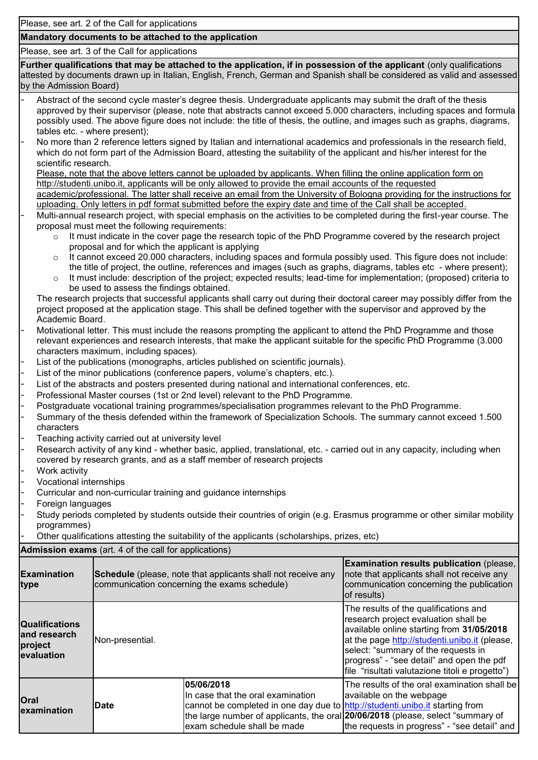Please, see art. 2 of the Call for applications

## **Mandatory documents to be attached to the application**

Please, see art. 3 of the Call for applications

**Further qualifications that may be attached to the application, if in possession of the applicant** (only qualifications attested by documents drawn up in Italian, English, French, German and Spanish shall be considered as valid and assessed by the Admission Board)

- Abstract of the second cycle master's degree thesis. Undergraduate applicants may submit the draft of the thesis approved by their supervisor (please, note that abstracts cannot exceed 5.000 characters, including spaces and formula possibly used. The above figure does not include: the title of thesis, the outline, and images such as graphs, diagrams, tables etc. - where present);
- No more than 2 reference letters signed by Italian and international academics and professionals in the research field, which do not form part of the Admission Board, attesting the suitability of the applicant and his/her interest for the scientific research.

Please, note that the above letters cannot be uploaded by applicants. When filling the online application form on [http://studenti.unibo.it,](http://studenti.unibo.it/) applicants will be only allowed to provide the email accounts of the requested

academic/professional. The latter shall receive an email from the University of Bologna providing for the instructions for uploading. Only letters in pdf format submitted before the expiry date and time of the Call shall be accepted.

- Multi-annual research project, with special emphasis on the activities to be completed during the first-year course. The proposal must meet the following requirements:
	- $\circ$  It must indicate in the cover page the research topic of the PhD Programme covered by the research project proposal and for which the applicant is applying
	- o It cannot exceed 20.000 characters, including spaces and formula possibly used. This figure does not include: the title of project, the outline, references and images (such as graphs, diagrams, tables etc - where present);
	- It must include: description of the project; expected results; lead-time for implementation; (proposed) criteria to be used to assess the findings obtained.
	- The research projects that successful applicants shall carry out during their doctoral career may possibly differ from the project proposed at the application stage. This shall be defined together with the supervisor and approved by the Academic Board.
- Motivational letter. This must include the reasons prompting the applicant to attend the PhD Programme and those relevant experiences and research interests, that make the applicant suitable for the specific PhD Programme (3.000 characters maximum, including spaces).
- List of the publications (monographs, articles published on scientific journals).
- List of the minor publications (conference papers, volume's chapters, etc.).
- List of the abstracts and posters presented during national and international conferences, etc.
- Professional Master courses (1st or 2nd level) relevant to the PhD Programme.
- Postgraduate vocational training programmes/specialisation programmes relevant to the PhD Programme.
- Summary of the thesis defended within the framework of Specialization Schools. The summary cannot exceed 1.500 characters
- Teaching activity carried out at university level
- Research activity of any kind whether basic, applied, translational, etc. carried out in any capacity, including when covered by research grants, and as a staff member of research projects
- Work activity
- Vocational internships
- Curricular and non-curricular training and guidance internships
- Foreign languages
- Study periods completed by students outside their countries of origin (e.g. Erasmus programme or other similar mobility programmes)

Other qualifications attesting the suitability of the applicants (scholarships, prizes, etc)

| Admission exams (art. 4 of the call for applications)   |                 |                                                                                                                                                                |                                                                                                                                                                                                                                                                                                                    |  |  |  |
|---------------------------------------------------------|-----------------|----------------------------------------------------------------------------------------------------------------------------------------------------------------|--------------------------------------------------------------------------------------------------------------------------------------------------------------------------------------------------------------------------------------------------------------------------------------------------------------------|--|--|--|
| <b>Examination</b><br>type                              |                 | <b>Schedule</b> (please, note that applicants shall not receive any<br>communication concerning the exams schedule)                                            | <b>Examination results publication</b> (please,<br>note that applicants shall not receive any<br>communication concerning the publication<br>of results)                                                                                                                                                           |  |  |  |
| Qualifications<br>and research<br>project<br>evaluation | Non-presential. |                                                                                                                                                                | The results of the qualifications and<br>research project evaluation shall be<br>available online starting from 31/05/2018<br>at the page http://studenti.unibo.it (please,<br>select: "summary of the requests in<br>progress" - "see detail" and open the pdf<br>file "risultati valutazione titoli e progetto") |  |  |  |
| Oral<br>examination                                     | <b>IDate</b>    | 05/06/2018<br>In case that the oral examination<br>cannot be completed in one day due to http://studenti.unibo.it starting from<br>exam schedule shall be made | The results of the oral examination shall be<br>available on the webpage<br>the large number of applicants, the oral 20/06/2018 (please, select "summary of<br>the requests in progress" - "see detail" and                                                                                                        |  |  |  |